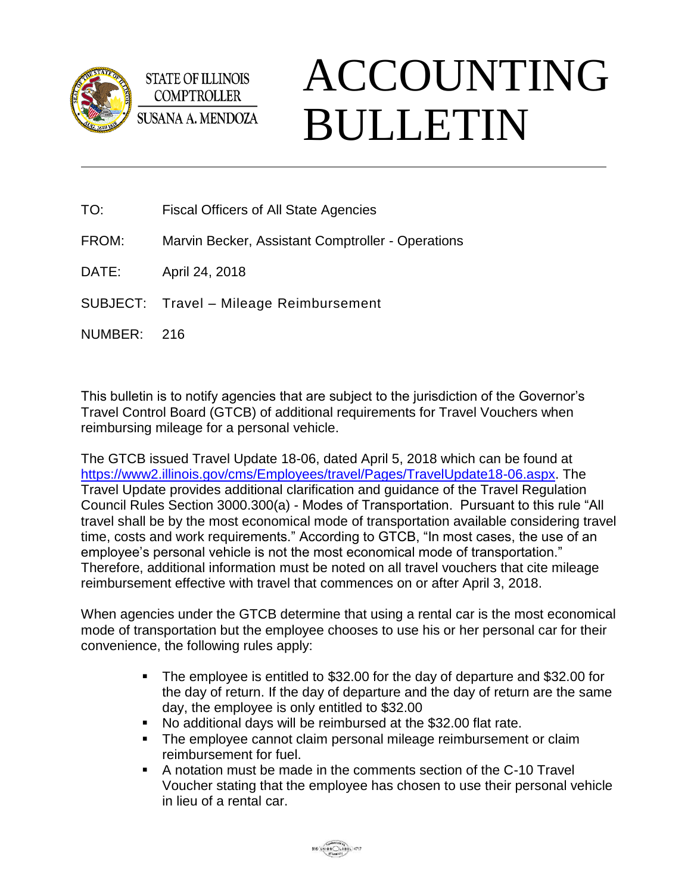

**STATE OF ILLINOIS COMPTROLLER SUSANA A. MENDOZA** 

## ACCOUNTING BULLETIN

- TO: Fiscal Officers of All State Agencies
- FROM: Marvin Becker, Assistant Comptroller Operations
- DATE: April 24, 2018
- SUBJECT: Travel Mileage Reimbursement
- NUMBER: 216

This bulletin is to notify agencies that are subject to the jurisdiction of the Governor's Travel Control Board (GTCB) of additional requirements for Travel Vouchers when reimbursing mileage for a personal vehicle.

The GTCB issued Travel Update 18-06, dated April 5, 2018 which can be found at [https://www2.illinois.gov/cms/Employees/travel/Pages/TravelUpdate18-06.aspx.](https://www2.illinois.gov/cms/Employees/travel/Pages/TravelUpdate18-06.aspx) The Travel Update provides additional clarification and guidance of the Travel Regulation Council Rules Section 3000.300(a) - Modes of Transportation. Pursuant to this rule "All travel shall be by the most economical mode of transportation available considering travel time, costs and work requirements." According to GTCB, "In most cases, the use of an employee's personal vehicle is not the most economical mode of transportation." Therefore, additional information must be noted on all travel vouchers that cite mileage reimbursement effective with travel that commences on or after April 3, 2018.

When agencies under the GTCB determine that using a rental car is the most economical mode of transportation but the employee chooses to use his or her personal car for their convenience, the following rules apply:

- The employee is entitled to \$32.00 for the day of departure and \$32.00 for the day of return. If the day of departure and the day of return are the same day, the employee is only entitled to \$32.00
- No additional days will be reimbursed at the \$32.00 flat rate.
- **The employee cannot claim personal mileage reimbursement or claim** reimbursement for fuel.
- A notation must be made in the comments section of the C-10 Travel Voucher stating that the employee has chosen to use their personal vehicle in lieu of a rental car.